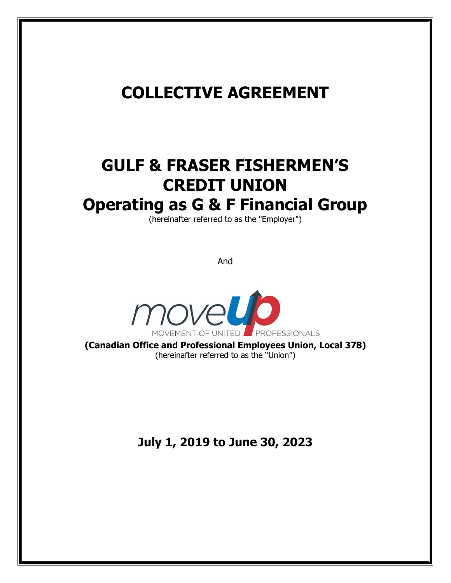# **COLLECTIVE AGREEMENT**

# **GULF & FRASER FISHERMEN'S CREDIT UNION Operating as G & F Financial Group**

(hereinafter referred to as the "Employer")

And



**(Canadian Office and Professional Employees Union, Local 378)** (hereinafter referred to as the "Union")

**July 1, 2019 to June 30, 2023**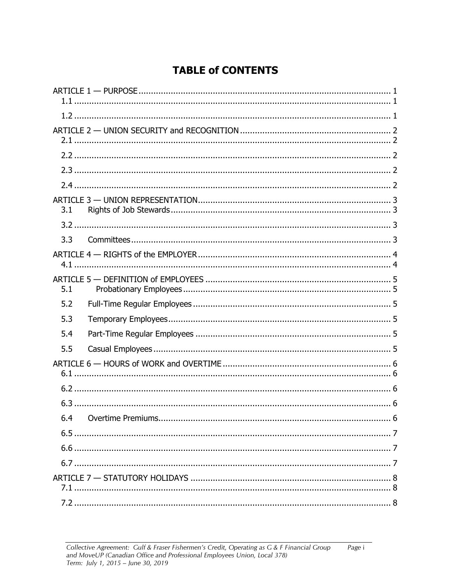# **TABLE of CONTENTS**

| 3.1 |  |
|-----|--|
|     |  |
| 3.3 |  |
|     |  |
| 5.1 |  |
| 5.2 |  |
| 5.3 |  |
| 5.4 |  |
| 5.5 |  |
|     |  |
|     |  |
|     |  |
| 6.4 |  |
|     |  |
|     |  |
|     |  |
|     |  |
|     |  |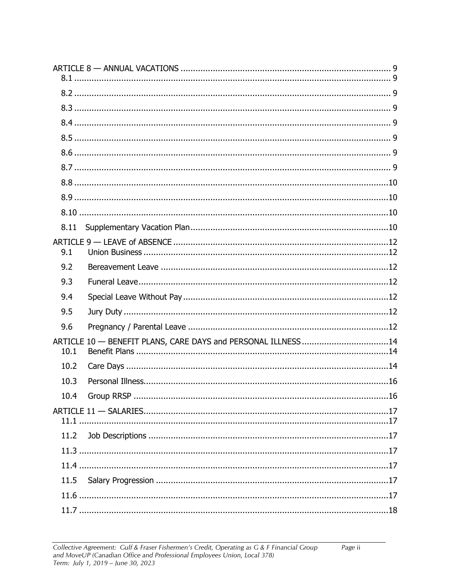| 8.11 |                                                               |  |
|------|---------------------------------------------------------------|--|
| 9.1  |                                                               |  |
| 9.2  |                                                               |  |
| 9.3  |                                                               |  |
| 9.4  |                                                               |  |
| 9.5  |                                                               |  |
| 9.6  |                                                               |  |
| 10.1 | ARTICLE 10 - BENEFIT PLANS, CARE DAYS and PERSONAL ILLNESS 14 |  |
| 10.2 |                                                               |  |
| 10.3 |                                                               |  |
|      |                                                               |  |
|      |                                                               |  |
| 11.2 |                                                               |  |
|      |                                                               |  |
|      |                                                               |  |
| 11.5 |                                                               |  |
|      |                                                               |  |
|      |                                                               |  |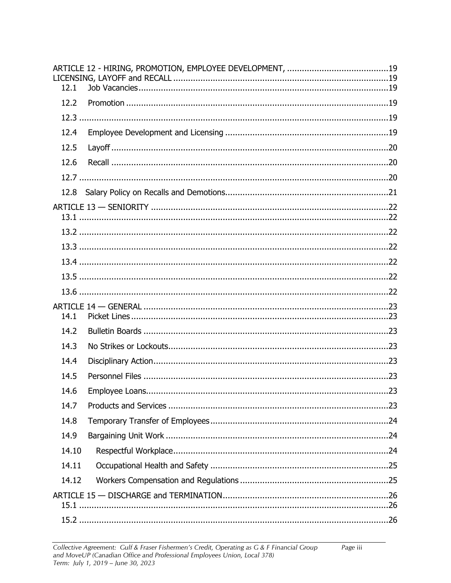| 12.1  |                |      |
|-------|----------------|------|
| 12.2  |                |      |
|       |                |      |
| 12.4  |                |      |
| 12.5  |                |      |
| 12.6  |                |      |
|       |                |      |
|       |                |      |
|       |                |      |
|       |                |      |
|       |                |      |
|       |                |      |
|       |                |      |
|       |                |      |
|       |                |      |
| 14.1  |                |      |
| 14.2  |                |      |
| 14.3  |                |      |
| 14.4  |                |      |
| 14.5  |                |      |
| 14.6  | Employee Loans | . 23 |
| 14.7  |                |      |
| 14.8  |                |      |
| 14.9  |                |      |
| 14.10 |                |      |
| 14.11 |                |      |
| 14.12 |                |      |
|       |                |      |
|       |                |      |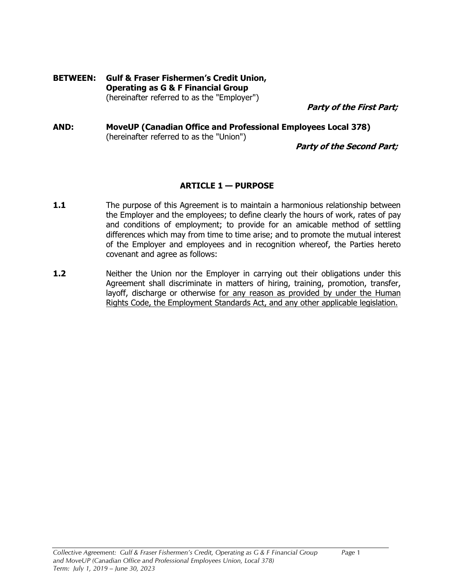**BETWEEN: Gulf & Fraser Fishermen's Credit Union, Operating as G & F Financial Group** (hereinafter referred to as the "Employer")

**Party of the First Part;**

**AND: MoveUP (Canadian Office and Professional Employees Local 378)** (hereinafter referred to as the "Union")

**Party of the Second Part;**

#### **ARTICLE 1 — PURPOSE**

- <span id="page-5-1"></span><span id="page-5-0"></span>**1.1** The purpose of this Agreement is to maintain a harmonious relationship between the Employer and the employees; to define clearly the hours of work, rates of pay and conditions of employment; to provide for an amicable method of settling differences which may from time to time arise; and to promote the mutual interest of the Employer and employees and in recognition whereof, the Parties hereto covenant and agree as follows:
- <span id="page-5-2"></span>**1.2** Neither the Union nor the Employer in carrying out their obligations under this Agreement shall discriminate in matters of hiring, training, promotion, transfer, layoff, discharge or otherwise for any reason as provided by under the Human Rights Code, the Employment Standards Act, and any other applicable legislation.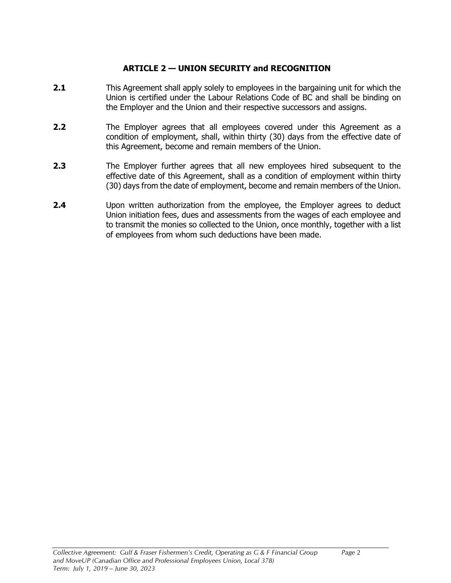#### **ARTICLE 2 — UNION SECURITY and RECOGNITION**

- <span id="page-6-1"></span><span id="page-6-0"></span>**2.1** This Agreement shall apply solely to employees in the bargaining unit for which the Union is certified under the Labour Relations Code of BC and shall be binding on the Employer and the Union and their respective successors and assigns.
- <span id="page-6-2"></span>**2.2** The Employer agrees that all employees covered under this Agreement as a condition of employment, shall, within thirty (30) days from the effective date of this Agreement, become and remain members of the Union.
- <span id="page-6-3"></span>**2.3** The Employer further agrees that all new employees hired subsequent to the effective date of this Agreement, shall as a condition of employment within thirty (30) days from the date of employment, become and remain members of the Union.
- <span id="page-6-4"></span>**2.4** Upon written authorization from the employee, the Employer agrees to deduct Union initiation fees, dues and assessments from the wages of each employee and to transmit the monies so collected to the Union, once monthly, together with a list of employees from whom such deductions have been made.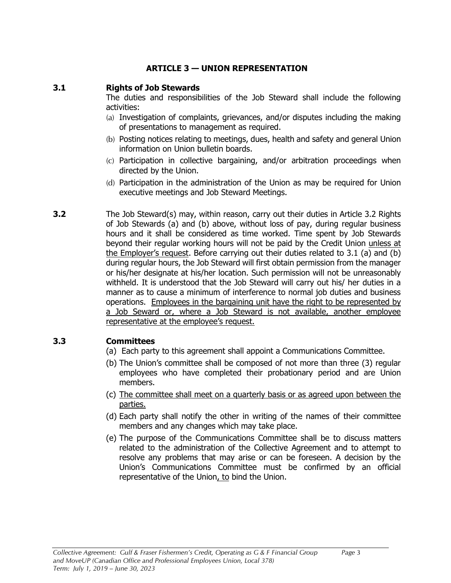#### **ARTICLE 3 — UNION REPRESENTATION**

#### <span id="page-7-1"></span><span id="page-7-0"></span>**3.1 Rights of Job Stewards**

The duties and responsibilities of the Job Steward shall include the following activities:

- (a) Investigation of complaints, grievances, and/or disputes including the making of presentations to management as required.
- (b) Posting notices relating to meetings, dues, health and safety and general Union information on Union bulletin boards.
- (c) Participation in collective bargaining, and/or arbitration proceedings when directed by the Union.
- (d) Participation in the administration of the Union as may be required for Union executive meetings and Job Steward Meetings.
- <span id="page-7-2"></span>**3.2** The Job Steward(s) may, within reason, carry out their duties in Article 3.2 Rights of Job Stewards (a) and (b) above, without loss of pay, during regular business hours and it shall be considered as time worked. Time spent by Job Stewards beyond their regular working hours will not be paid by the Credit Union unless at the Employer's request. Before carrying out their duties related to 3.1 (a) and (b) during regular hours, the Job Steward will first obtain permission from the manager or his/her designate at his/her location. Such permission will not be unreasonably withheld. It is understood that the Job Steward will carry out his/ her duties in a manner as to cause a minimum of interference to normal job duties and business operations. Employees in the bargaining unit have the right to be represented by a Job Seward or, where a Job Steward is not available, another employee representative at the employee's request.

#### <span id="page-7-3"></span>**3.3 Committees**

- (a) Each party to this agreement shall appoint a Communications Committee.
- (b) The Union's committee shall be composed of not more than three (3) regular employees who have completed their probationary period and are Union members.
- (c) The committee shall meet on a quarterly basis or as agreed upon between the parties.
- (d) Each party shall notify the other in writing of the names of their committee members and any changes which may take place.
- (e) The purpose of the Communications Committee shall be to discuss matters related to the administration of the Collective Agreement and to attempt to resolve any problems that may arise or can be foreseen. A decision by the Union's Communications Committee must be confirmed by an official representative of the Union, to bind the Union.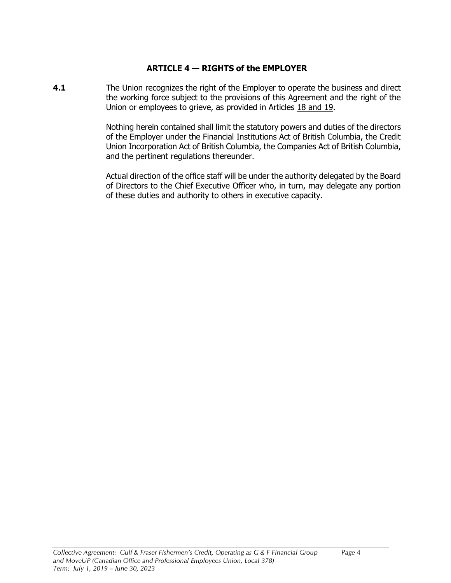#### **ARTICLE 4 — RIGHTS of the EMPLOYER**

<span id="page-8-1"></span><span id="page-8-0"></span>**4.1** The Union recognizes the right of the Employer to operate the business and direct the working force subject to the provisions of this Agreement and the right of the Union or employees to grieve, as provided in Articles 18 and 19.

> Nothing herein contained shall limit the statutory powers and duties of the directors of the Employer under the Financial Institutions Act of British Columbia, the Credit Union Incorporation Act of British Columbia, the Companies Act of British Columbia, and the pertinent regulations thereunder.

> Actual direction of the office staff will be under the authority delegated by the Board of Directors to the Chief Executive Officer who, in turn, may delegate any portion of these duties and authority to others in executive capacity.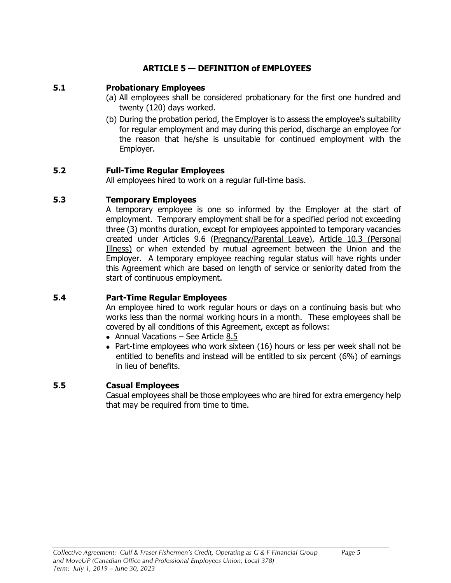#### **ARTICLE 5 — DEFINITION of EMPLOYEES**

#### <span id="page-9-1"></span><span id="page-9-0"></span>**5.1 Probationary Employees**

- (a) All employees shall be considered probationary for the first one hundred and twenty (120) days worked.
- (b) During the probation period, the Employer is to assess the employee's suitability for regular employment and may during this period, discharge an employee for the reason that he/she is unsuitable for continued employment with the Employer.

#### <span id="page-9-2"></span>**5.2 Full-Time Regular Employees**

All employees hired to work on a regular full-time basis.

#### <span id="page-9-3"></span>**5.3 Temporary Employees**

A temporary employee is one so informed by the Employer at the start of employment. Temporary employment shall be for a specified period not exceeding three (3) months duration, except for employees appointed to temporary vacancies created under Articles 9.6 (Pregnancy/Parental Leave), Article 10.3 (Personal Illness) or when extended by mutual agreement between the Union and the Employer. A temporary employee reaching regular status will have rights under this Agreement which are based on length of service or seniority dated from the start of continuous employment.

#### <span id="page-9-4"></span>**5.4 Part-Time Regular Employees**

An employee hired to work regular hours or days on a continuing basis but who works less than the normal working hours in a month. These employees shall be covered by all conditions of this Agreement, except as follows:

- Annual Vacations See Article 8.5
- Part-time employees who work sixteen (16) hours or less per week shall not be entitled to benefits and instead will be entitled to six percent (6%) of earnings in lieu of benefits.

#### <span id="page-9-5"></span>**5.5 Casual Employees**

Casual employees shall be those employees who are hired for extra emergency help that may be required from time to time.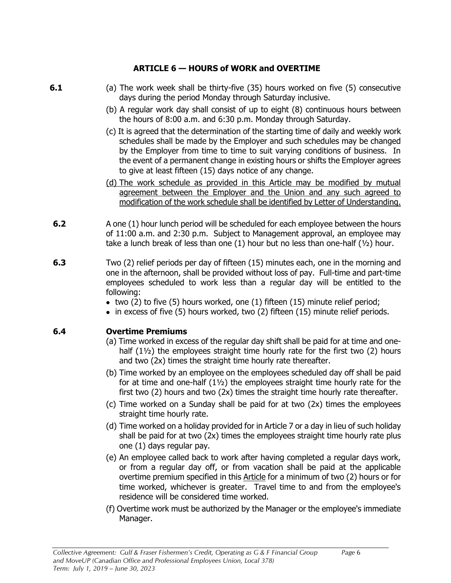#### **ARTICLE 6 — HOURS of WORK and OVERTIME**

- <span id="page-10-1"></span><span id="page-10-0"></span>**6.1** (a) The work week shall be thirty-five (35) hours worked on five (5) consecutive days during the period Monday through Saturday inclusive.
	- (b) A regular work day shall consist of up to eight (8) continuous hours between the hours of 8:00 a.m. and 6:30 p.m. Monday through Saturday.
	- (c) It is agreed that the determination of the starting time of daily and weekly work schedules shall be made by the Employer and such schedules may be changed by the Employer from time to time to suit varying conditions of business. In the event of a permanent change in existing hours or shifts the Employer agrees to give at least fifteen (15) days notice of any change.
	- (d) The work schedule as provided in this Article may be modified by mutual agreement between the Employer and the Union and any such agreed to modification of the work schedule shall be identified by Letter of Understanding.
- <span id="page-10-2"></span>**6.2** A one (1) hour lunch period will be scheduled for each employee between the hours of 11:00 a.m. and 2:30 p.m. Subject to Management approval, an employee may take a lunch break of less than one  $(1)$  hour but no less than one-half  $(\frac{1}{2})$  hour.
- <span id="page-10-3"></span>**6.3** Two (2) relief periods per day of fifteen (15) minutes each, one in the morning and one in the afternoon, shall be provided without loss of pay. Full-time and part-time employees scheduled to work less than a regular day will be entitled to the following:
	- two (2) to five (5) hours worked, one (1) fifteen (15) minute relief period;
	- in excess of five (5) hours worked, two (2) fifteen (15) minute relief periods.

#### <span id="page-10-4"></span>**6.4 Overtime Premiums**

- (a) Time worked in excess of the regular day shift shall be paid for at time and onehalf  $(1\frac{1}{2})$  the employees straight time hourly rate for the first two  $(2)$  hours and two (2x) times the straight time hourly rate thereafter.
- (b) Time worked by an employee on the employees scheduled day off shall be paid for at time and one-half  $(1\frac{1}{2})$  the employees straight time hourly rate for the first two  $(2)$  hours and two  $(2x)$  times the straight time hourly rate thereafter.
- (c) Time worked on a Sunday shall be paid for at two (2x) times the employees straight time hourly rate.
- (d) Time worked on a holiday provided for in Article 7 or a day in lieu of such holiday shall be paid for at two (2x) times the employees straight time hourly rate plus one (1) days regular pay.
- (e) An employee called back to work after having completed a regular days work, or from a regular day off, or from vacation shall be paid at the applicable overtime premium specified in this Article for a minimum of two (2) hours or for time worked, whichever is greater. Travel time to and from the employee's residence will be considered time worked.
- (f) Overtime work must be authorized by the Manager or the employee's immediate Manager.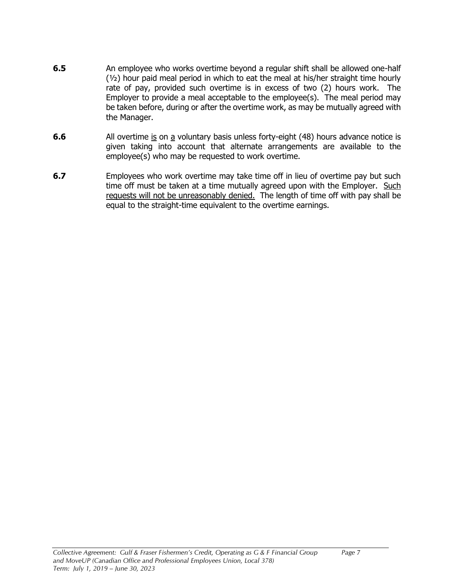- <span id="page-11-0"></span>**6.5** An employee who works overtime beyond a regular shift shall be allowed one-half (½) hour paid meal period in which to eat the meal at his/her straight time hourly rate of pay, provided such overtime is in excess of two (2) hours work. The Employer to provide a meal acceptable to the employee(s). The meal period may be taken before, during or after the overtime work, as may be mutually agreed with the Manager.
- <span id="page-11-1"></span>**6.6** All overtime is on a voluntary basis unless forty-eight (48) hours advance notice is given taking into account that alternate arrangements are available to the employee(s) who may be requested to work overtime.
- <span id="page-11-2"></span>**6.7** Employees who work overtime may take time off in lieu of overtime pay but such time off must be taken at a time mutually agreed upon with the Employer. Such requests will not be unreasonably denied. The length of time off with pay shall be equal to the straight-time equivalent to the overtime earnings.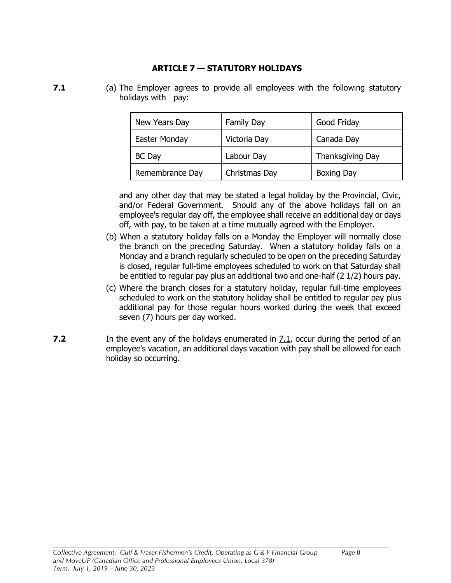#### **ARTICLE 7 — STATUTORY HOLIDAYS**

<span id="page-12-1"></span><span id="page-12-0"></span>**7.1** (a) The Employer agrees to provide all employees with the following statutory holidays with pay:

| New Years Day   | <b>Family Day</b> | Good Friday       |
|-----------------|-------------------|-------------------|
| Easter Monday   | Victoria Day      | Canada Day        |
| <b>BC</b> Day   | Labour Day        | Thanksgiving Day  |
| Remembrance Day | Christmas Day     | <b>Boxing Day</b> |

and any other day that may be stated a legal holiday by the Provincial, Civic, and/or Federal Government. Should any of the above holidays fall on an employee's regular day off, the employee shall receive an additional day or days off, with pay, to be taken at a time mutually agreed with the Employer.

- (b) When a statutory holiday falls on a Monday the Employer will normally close the branch on the preceding Saturday. When a statutory holiday falls on a Monday and a branch regularly scheduled to be open on the preceding Saturday is closed, regular full-time employees scheduled to work on that Saturday shall be entitled to regular pay plus an additional two and one-half (2 1/2) hours pay.
- (c) Where the branch closes for a statutory holiday, regular full-time employees scheduled to work on the statutory holiday shall be entitled to regular pay plus additional pay for those regular hours worked during the week that exceed seven (7) hours per day worked.
- <span id="page-12-2"></span>**7.2** In the event any of the holidays enumerated in 7.1, occur during the period of an employee's vacation, an additional days vacation with pay shall be allowed for each holiday so occurring.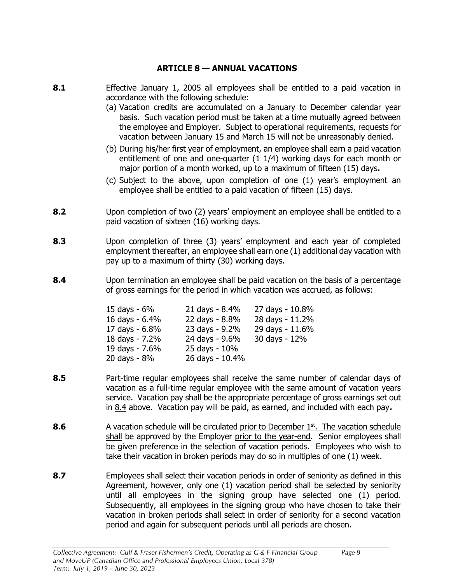#### **ARTICLE 8 — ANNUAL VACATIONS**

- <span id="page-13-1"></span><span id="page-13-0"></span>**8.1** Effective January 1, 2005 all employees shall be entitled to a paid vacation in accordance with the following schedule:
	- (a) Vacation credits are accumulated on a January to December calendar year basis. Such vacation period must be taken at a time mutually agreed between the employee and Employer. Subject to operational requirements, requests for vacation between January 15 and March 15 will not be unreasonably denied.
	- (b) During his/her first year of employment, an employee shall earn a paid vacation entitlement of one and one-quarter (1 1/4) working days for each month or major portion of a month worked, up to a maximum of fifteen (15) days**.**
	- (c) Subject to the above, upon completion of one (1) year's employment an employee shall be entitled to a paid vacation of fifteen (15) days.
- <span id="page-13-2"></span>**8.2** Upon completion of two (2) years' employment an employee shall be entitled to a paid vacation of sixteen (16) working days.
- <span id="page-13-3"></span>**8.3** Upon completion of three (3) years' employment and each year of completed employment thereafter, an employee shall earn one (1) additional day vacation with pay up to a maximum of thirty (30) working days.
- <span id="page-13-4"></span>**8.4** Upon termination an employee shall be paid vacation on the basis of a percentage of gross earnings for the period in which vacation was accrued, as follows:

| 21 days - 8.4%  | 27 days - 10.8% |
|-----------------|-----------------|
| 22 days - 8.8%  | 28 days - 11.2% |
| 23 days - 9.2%  | 29 days - 11.6% |
| 24 days - 9.6%  | 30 days - 12%   |
| 25 days - 10%   |                 |
| 26 days - 10.4% |                 |
|                 |                 |

- <span id="page-13-5"></span>**8.5** Part-time regular employees shall receive the same number of calendar days of vacation as a full-time regular employee with the same amount of vacation years service. Vacation pay shall be the appropriate percentage of gross earnings set out in 8.4 above. Vacation pay will be paid, as earned, and included with each pay**.**
- <span id="page-13-6"></span>**8.6** A vacation schedule will be circulated prior to December 1<sup>st</sup>. The vacation schedule shall be approved by the Employer prior to the year-end. Senior employees shall be given preference in the selection of vacation periods. Employees who wish to take their vacation in broken periods may do so in multiples of one (1) week.
- <span id="page-13-7"></span>**8.7** Employees shall select their vacation periods in order of seniority as defined in this Agreement, however, only one (1) vacation period shall be selected by seniority until all employees in the signing group have selected one (1) period. Subsequently, all employees in the signing group who have chosen to take their vacation in broken periods shall select in order of seniority for a second vacation period and again for subsequent periods until all periods are chosen.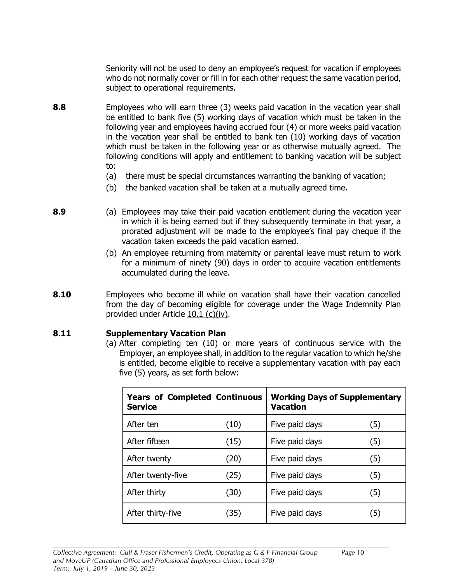Seniority will not be used to deny an employee's request for vacation if employees who do not normally cover or fill in for each other request the same vacation period, subject to operational requirements.

- <span id="page-14-0"></span>**8.8** Employees who will earn three (3) weeks paid vacation in the vacation year shall be entitled to bank five (5) working days of vacation which must be taken in the following year and employees having accrued four (4) or more weeks paid vacation in the vacation year shall be entitled to bank ten (10) working days of vacation which must be taken in the following year or as otherwise mutually agreed. The following conditions will apply and entitlement to banking vacation will be subject to:
	- (a) there must be special circumstances warranting the banking of vacation;
	- (b) the banked vacation shall be taken at a mutually agreed time.
- <span id="page-14-1"></span>**8.9** (a) Employees may take their paid vacation entitlement during the vacation year in which it is being earned but if they subsequently terminate in that year, a prorated adjustment will be made to the employee's final pay cheque if the vacation taken exceeds the paid vacation earned.
	- (b) An employee returning from maternity or parental leave must return to work for a minimum of ninety (90) days in order to acquire vacation entitlements accumulated during the leave.
- <span id="page-14-2"></span>**8.10** Employees who become ill while on vacation shall have their vacation cancelled from the day of becoming eligible for coverage under the Wage Indemnity Plan provided under Article 10.1 (c)(iv).

#### <span id="page-14-3"></span>**8.11 Supplementary Vacation Plan**

(a) After completing ten (10) or more years of continuous service with the Employer, an employee shall, in addition to the regular vacation to which he/she is entitled, become eligible to receive a supplementary vacation with pay each five (5) years, as set forth below:

| <b>Years of Completed Continuous</b><br><b>Service</b> |      | <b>Working Days of Supplementary</b><br><b>Vacation</b> |     |
|--------------------------------------------------------|------|---------------------------------------------------------|-----|
| After ten                                              | (10) | Five paid days                                          | (5) |
| After fifteen                                          | (15) | Five paid days                                          | (5) |
| After twenty                                           | (20) | Five paid days                                          | (5) |
| After twenty-five                                      | (25) | Five paid days                                          | (5) |
| After thirty                                           | (30) | Five paid days                                          | (5) |
| After thirty-five                                      | (35) | Five paid days                                          | (5) |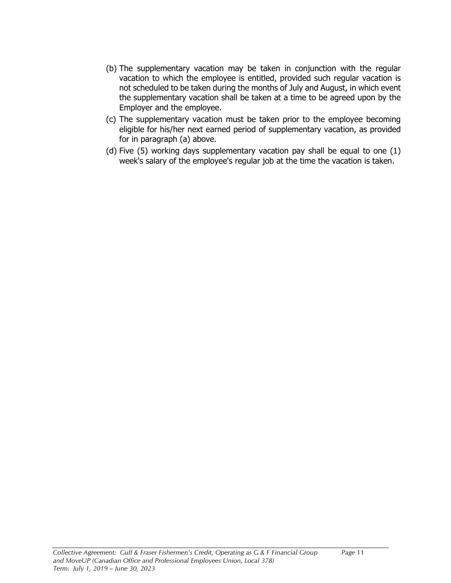- (b) The supplementary vacation may be taken in conjunction with the regular vacation to which the employee is entitled, provided such regular vacation is not scheduled to be taken during the months of July and August, in which event the supplementary vacation shall be taken at a time to be agreed upon by the Employer and the employee.
- (c) The supplementary vacation must be taken prior to the employee becoming eligible for his/her next earned period of supplementary vacation, as provided for in paragraph (a) above.
- (d) Five (5) working days supplementary vacation pay shall be equal to one (1) week's salary of the employee's regular job at the time the vacation is taken.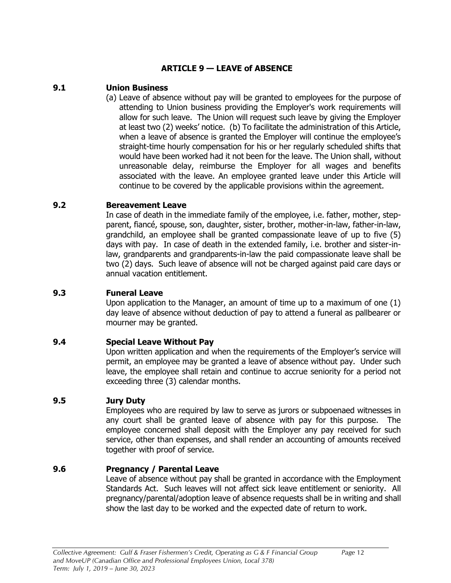## **ARTICLE 9 — LEAVE of ABSENCE**

#### <span id="page-16-1"></span><span id="page-16-0"></span>**9.1 Union Business**

(a) Leave of absence without pay will be granted to employees for the purpose of attending to Union business providing the Employer's work requirements will allow for such leave. The Union will request such leave by giving the Employer at least two (2) weeks' notice. (b) To facilitate the administration of this Article, when a leave of absence is granted the Employer will continue the employee's straight-time hourly compensation for his or her regularly scheduled shifts that would have been worked had it not been for the leave. The Union shall, without unreasonable delay, reimburse the Employer for all wages and benefits associated with the leave. An employee granted leave under this Article will continue to be covered by the applicable provisions within the agreement.

#### <span id="page-16-2"></span>**9.2 Bereavement Leave**

In case of death in the immediate family of the employee, i.e. father, mother, stepparent, fiancé, spouse, son, daughter, sister, brother, mother-in-law, father-in-law, grandchild, an employee shall be granted compassionate leave of up to five (5) days with pay. In case of death in the extended family, i.e. brother and sister-inlaw, grandparents and grandparents-in-law the paid compassionate leave shall be two (2) days. Such leave of absence will not be charged against paid care days or annual vacation entitlement.

#### <span id="page-16-3"></span>**9.3 Funeral Leave**

Upon application to the Manager, an amount of time up to a maximum of one (1) day leave of absence without deduction of pay to attend a funeral as pallbearer or mourner may be granted.

#### <span id="page-16-4"></span>**9.4 Special Leave Without Pay**

Upon written application and when the requirements of the Employer's service will permit, an employee may be granted a leave of absence without pay. Under such leave, the employee shall retain and continue to accrue seniority for a period not exceeding three (3) calendar months.

#### <span id="page-16-5"></span>**9.5 Jury Duty**

Employees who are required by law to serve as jurors or subpoenaed witnesses in any court shall be granted leave of absence with pay for this purpose. The employee concerned shall deposit with the Employer any pay received for such service, other than expenses, and shall render an accounting of amounts received together with proof of service.

#### <span id="page-16-6"></span>**9.6 Pregnancy / Parental Leave**

Leave of absence without pay shall be granted in accordance with the Employment Standards Act. Such leaves will not affect sick leave entitlement or seniority. All pregnancy/parental/adoption leave of absence requests shall be in writing and shall show the last day to be worked and the expected date of return to work.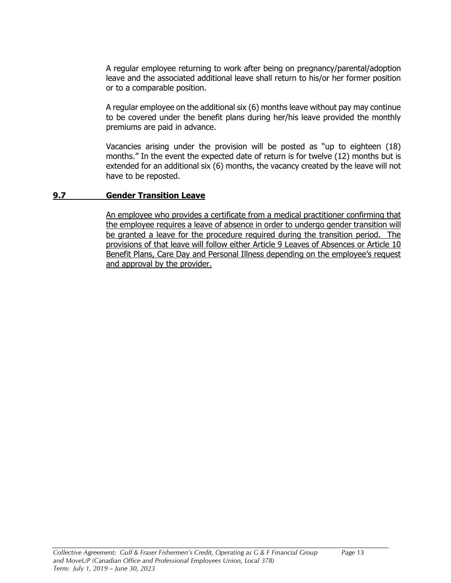A regular employee returning to work after being on pregnancy/parental/adoption leave and the associated additional leave shall return to his/or her former position or to a comparable position.

A regular employee on the additional six (6) months leave without pay may continue to be covered under the benefit plans during her/his leave provided the monthly premiums are paid in advance.

Vacancies arising under the provision will be posted as "up to eighteen (18) months." In the event the expected date of return is for twelve (12) months but is extended for an additional six (6) months, the vacancy created by the leave will not have to be reposted.

#### **9.7 Gender Transition Leave**

An employee who provides a certificate from a medical practitioner confirming that the employee requires a leave of absence in order to undergo gender transition will be granted a leave for the procedure required during the transition period. The provisions of that leave will follow either Article 9 Leaves of Absences or Article 10 Benefit Plans, Care Day and Personal Illness depending on the employee's request and approval by the provider.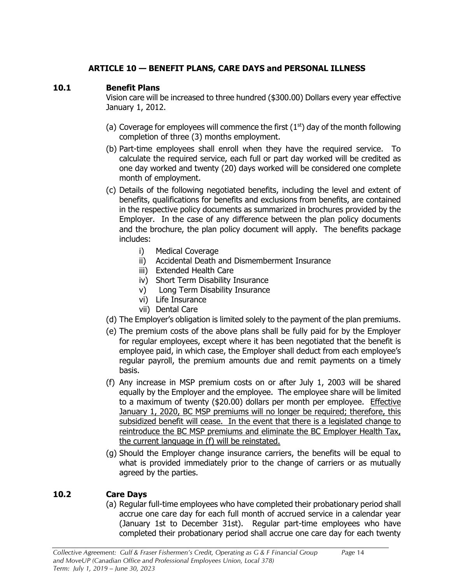### **ARTICLE 10 — BENEFIT PLANS, CARE DAYS and PERSONAL ILLNESS**

#### <span id="page-18-1"></span><span id="page-18-0"></span>**10.1 Benefit Plans**

Vision care will be increased to three hundred (\$300.00) Dollars every year effective January 1, 2012.

- (a) Coverage for employees will commence the first  $(1<sup>st</sup>)$  day of the month following completion of three (3) months employment.
- (b) Part-time employees shall enroll when they have the required service. To calculate the required service, each full or part day worked will be credited as one day worked and twenty (20) days worked will be considered one complete month of employment.
- (c) Details of the following negotiated benefits, including the level and extent of benefits, qualifications for benefits and exclusions from benefits, are contained in the respective policy documents as summarized in brochures provided by the Employer. In the case of any difference between the plan policy documents and the brochure, the plan policy document will apply. The benefits package includes:
	- i) Medical Coverage
	- ii) Accidental Death and Dismemberment Insurance
	- iii) Extended Health Care
	- iv) Short Term Disability Insurance
	- v) Long Term Disability Insurance
	- vi) Life Insurance
	- vii) Dental Care
- (d) The Employer's obligation is limited solely to the payment of the plan premiums.
- (e) The premium costs of the above plans shall be fully paid for by the Employer for regular employees, except where it has been negotiated that the benefit is employee paid, in which case, the Employer shall deduct from each employee's regular payroll, the premium amounts due and remit payments on a timely basis.
- (f) Any increase in MSP premium costs on or after July 1, 2003 will be shared equally by the Employer and the employee. The employee share will be limited to a maximum of twenty (\$20.00) dollars per month per employee. Effective January 1, 2020, BC MSP premiums will no longer be required; therefore, this subsidized benefit will cease. In the event that there is a legislated change to reintroduce the BC MSP premiums and eliminate the BC Employer Health Tax, the current language in (f) will be reinstated.
- (g) Should the Employer change insurance carriers, the benefits will be equal to what is provided immediately prior to the change of carriers or as mutually agreed by the parties.

# <span id="page-18-2"></span>**10.2 Care Days**

(a) Regular full-time employees who have completed their probationary period shall accrue one care day for each full month of accrued service in a calendar year (January 1st to December 31st). Regular part-time employees who have completed their probationary period shall accrue one care day for each twenty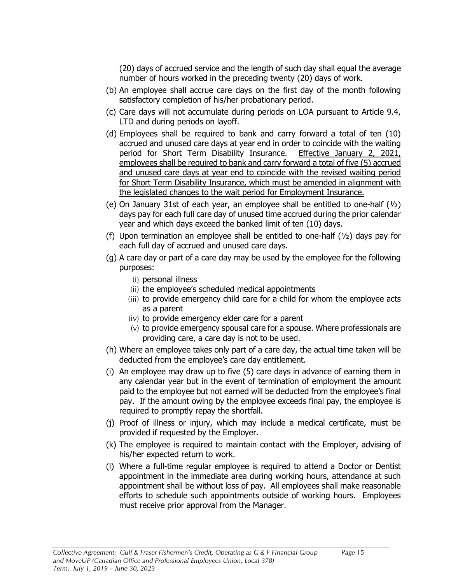(20) days of accrued service and the length of such day shall equal the average number of hours worked in the preceding twenty (20) days of work.

- (b) An employee shall accrue care days on the first day of the month following satisfactory completion of his/her probationary period.
- (c) Care days will not accumulate during periods on LOA pursuant to Article 9.4, LTD and during periods on layoff.
- (d) Employees shall be required to bank and carry forward a total of ten (10) accrued and unused care days at year end in order to coincide with the waiting period for Short Term Disability Insurance. Effective January 2, 2021, employees shall be required to bank and carry forward a total of five (5) accrued and unused care days at year end to coincide with the revised waiting period for Short Term Disability Insurance, which must be amended in alignment with the legislated changes to the wait period for Employment Insurance.
- (e) On January 31st of each year, an employee shall be entitled to one-half  $(y_2)$ days pay for each full care day of unused time accrued during the prior calendar year and which days exceed the banked limit of ten (10) days.
- (f) Upon termination an employee shall be entitled to one-half  $(y_2)$  days pay for each full day of accrued and unused care days.
- (g) A care day or part of a care day may be used by the employee for the following purposes:
	- (i) personal illness
	- (ii) the employee's scheduled medical appointments
	- (iii) to provide emergency child care for a child for whom the employee acts as a parent
	- (iv) to provide emergency elder care for a parent
	- (v) to provide emergency spousal care for a spouse. Where professionals are providing care, a care day is not to be used.
- (h) Where an employee takes only part of a care day, the actual time taken will be deducted from the employee's care day entitlement.
- (i) An employee may draw up to five (5) care days in advance of earning them in any calendar year but in the event of termination of employment the amount paid to the employee but not earned will be deducted from the employee's final pay. If the amount owing by the employee exceeds final pay, the employee is required to promptly repay the shortfall.
- (j) Proof of illness or injury, which may include a medical certificate, must be provided if requested by the Employer.
- (k) The employee is required to maintain contact with the Employer, advising of his/her expected return to work.
- (l) Where a full-time regular employee is required to attend a Doctor or Dentist appointment in the immediate area during working hours, attendance at such appointment shall be without loss of pay. All employees shall make reasonable efforts to schedule such appointments outside of working hours. Employees must receive prior approval from the Manager.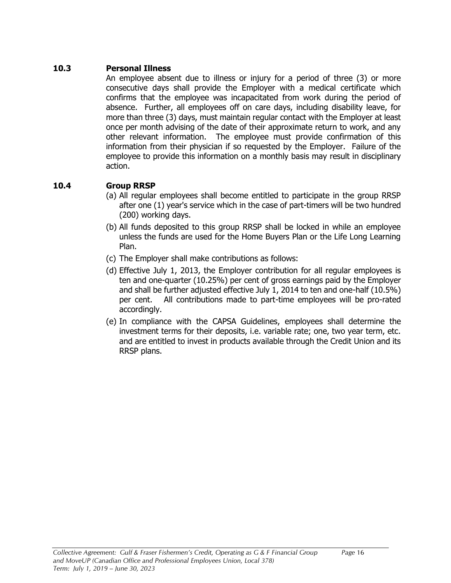#### <span id="page-20-0"></span>**10.3 Personal Illness**

An employee absent due to illness or injury for a period of three (3) or more consecutive days shall provide the Employer with a medical certificate which confirms that the employee was incapacitated from work during the period of absence. Further, all employees off on care days, including disability leave, for more than three (3) days, must maintain regular contact with the Employer at least once per month advising of the date of their approximate return to work, and any other relevant information. The employee must provide confirmation of this information from their physician if so requested by the Employer. Failure of the employee to provide this information on a monthly basis may result in disciplinary action.

#### <span id="page-20-1"></span>**10.4 Group RRSP**

- (a) All regular employees shall become entitled to participate in the group RRSP after one (1) year's service which in the case of part-timers will be two hundred (200) working days.
- (b) All funds deposited to this group RRSP shall be locked in while an employee unless the funds are used for the Home Buyers Plan or the Life Long Learning Plan.
- (c) The Employer shall make contributions as follows:
- (d) Effective July 1, 2013, the Employer contribution for all regular employees is ten and one-quarter (10.25%) per cent of gross earnings paid by the Employer and shall be further adjusted effective July 1, 2014 to ten and one-half (10.5%) per cent. All contributions made to part-time employees will be pro-rated accordingly.
- (e) In compliance with the CAPSA Guidelines, employees shall determine the investment terms for their deposits, i.e. variable rate; one, two year term, etc. and are entitled to invest in products available through the Credit Union and its RRSP plans.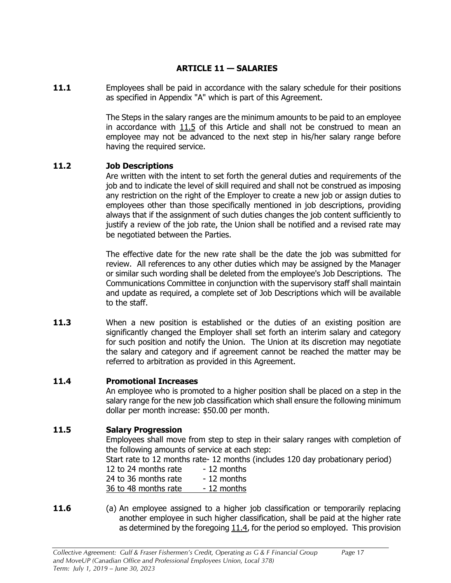#### **ARTICLE 11 — SALARIES**

<span id="page-21-1"></span><span id="page-21-0"></span>**11.1** Employees shall be paid in accordance with the salary schedule for their positions as specified in Appendix "A" which is part of this Agreement.

> The Steps in the salary ranges are the minimum amounts to be paid to an employee in accordance with 11.5 of this Article and shall not be construed to mean an employee may not be advanced to the next step in his/her salary range before having the required service.

#### <span id="page-21-2"></span>**11.2 Job Descriptions**

Are written with the intent to set forth the general duties and requirements of the job and to indicate the level of skill required and shall not be construed as imposing any restriction on the right of the Employer to create a new job or assign duties to employees other than those specifically mentioned in job descriptions, providing always that if the assignment of such duties changes the job content sufficiently to justify a review of the job rate, the Union shall be notified and a revised rate may be negotiated between the Parties.

The effective date for the new rate shall be the date the job was submitted for review. All references to any other duties which may be assigned by the Manager or similar such wording shall be deleted from the employee's Job Descriptions. The Communications Committee in conjunction with the supervisory staff shall maintain and update as required, a complete set of Job Descriptions which will be available to the staff.

<span id="page-21-3"></span>**11.3** When a new position is established or the duties of an existing position are significantly changed the Employer shall set forth an interim salary and category for such position and notify the Union. The Union at its discretion may negotiate the salary and category and if agreement cannot be reached the matter may be referred to arbitration as provided in this Agreement.

#### <span id="page-21-4"></span>**11.4 Promotional Increases**

An employee who is promoted to a higher position shall be placed on a step in the salary range for the new job classification which shall ensure the following minimum dollar per month increase: \$50.00 per month.

#### <span id="page-21-5"></span>**11.5 Salary Progression**

Employees shall move from step to step in their salary ranges with completion of the following amounts of service at each step:

Start rate to 12 months rate- 12 months (includes 120 day probationary period)

| 12 to 24 months rate | - 12 months |
|----------------------|-------------|
| 24 to 36 months rate | - 12 months |
| 36 to 48 months rate | - 12 months |

<span id="page-21-6"></span>**11.6** (a) An employee assigned to a higher job classification or temporarily replacing another employee in such higher classification, shall be paid at the higher rate as determined by the foregoing 11.4, for the period so employed. This provision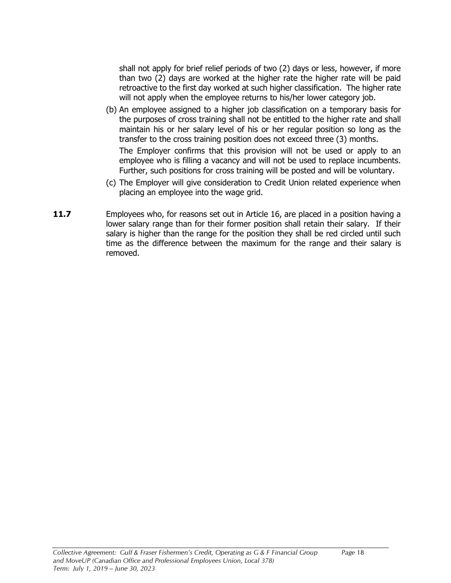shall not apply for brief relief periods of two (2) days or less, however, if more than two (2) days are worked at the higher rate the higher rate will be paid retroactive to the first day worked at such higher classification. The higher rate will not apply when the employee returns to his/her lower category job.

(b) An employee assigned to a higher job classification on a temporary basis for the purposes of cross training shall not be entitled to the higher rate and shall maintain his or her salary level of his or her regular position so long as the transfer to the cross training position does not exceed three (3) months.

The Employer confirms that this provision will not be used or apply to an employee who is filling a vacancy and will not be used to replace incumbents. Further, such positions for cross training will be posted and will be voluntary.

- (c) The Employer will give consideration to Credit Union related experience when placing an employee into the wage grid.
- <span id="page-22-0"></span>**11.7** Employees who, for reasons set out in Article 16, are placed in a position having a lower salary range than for their former position shall retain their salary. If their salary is higher than the range for the position they shall be red circled until such time as the difference between the maximum for the range and their salary is removed.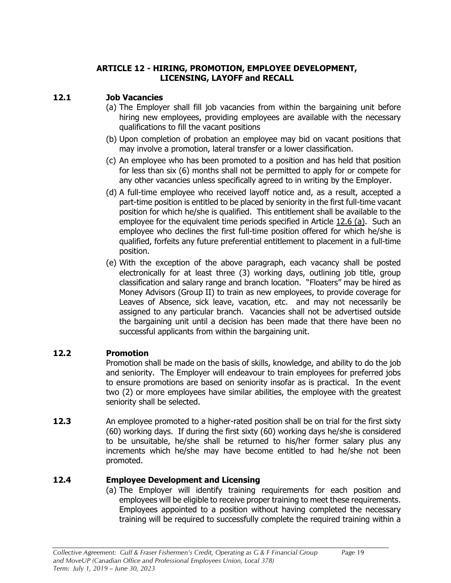#### **ARTICLE 12 - HIRING, PROMOTION, EMPLOYEE DEVELOPMENT, LICENSING, LAYOFF and RECALL**

## <span id="page-23-2"></span><span id="page-23-1"></span><span id="page-23-0"></span>**12.1 Job Vacancies**

- (a) The Employer shall fill job vacancies from within the bargaining unit before hiring new employees, providing employees are available with the necessary qualifications to fill the vacant positions
- (b) Upon completion of probation an employee may bid on vacant positions that may involve a promotion, lateral transfer or a lower classification.
- (c) An employee who has been promoted to a position and has held that position for less than six (6) months shall not be permitted to apply for or compete for any other vacancies unless specifically agreed to in writing by the Employer.
- (d) A full-time employee who received layoff notice and, as a result, accepted a part-time position is entitled to be placed by seniority in the first full-time vacant position for which he/she is qualified. This entitlement shall be available to the employee for the equivalent time periods specified in Article 12.6 (a). Such an employee who declines the first full-time position offered for which he/she is qualified, forfeits any future preferential entitlement to placement in a full-time position.
- (e) With the exception of the above paragraph, each vacancy shall be posted electronically for at least three (3) working days, outlining job title, group classification and salary range and branch location. "Floaters" may be hired as Money Advisors (Group II) to train as new employees, to provide coverage for Leaves of Absence, sick leave, vacation, etc. and may not necessarily be assigned to any particular branch. Vacancies shall not be advertised outside the bargaining unit until a decision has been made that there have been no successful applicants from within the bargaining unit.

#### <span id="page-23-3"></span>**12.2 Promotion**

Promotion shall be made on the basis of skills, knowledge, and ability to do the job and seniority. The Employer will endeavour to train employees for preferred jobs to ensure promotions are based on seniority insofar as is practical. In the event two (2) or more employees have similar abilities, the employee with the greatest seniority shall be selected.

<span id="page-23-4"></span>**12.3** An employee promoted to a higher-rated position shall be on trial for the first sixty (60) working days. If during the first sixty (60) working days he/she is considered to be unsuitable, he/she shall be returned to his/her former salary plus any increments which he/she may have become entitled to had he/she not been promoted.

# <span id="page-23-5"></span>**12.4 Employee Development and Licensing**

(a) The Employer will identify training requirements for each position and employees will be eligible to receive proper training to meet these requirements. Employees appointed to a position without having completed the necessary training will be required to successfully complete the required training within a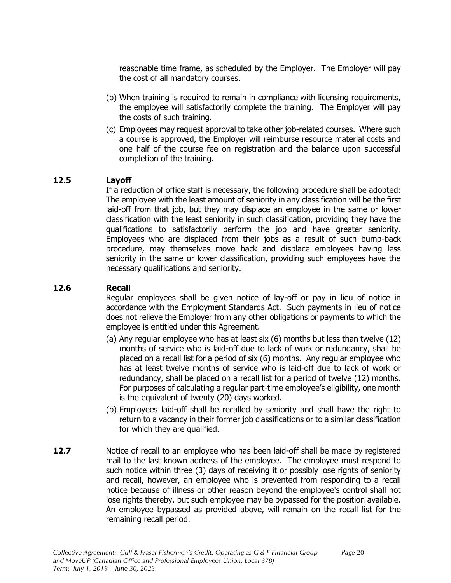reasonable time frame, as scheduled by the Employer. The Employer will pay the cost of all mandatory courses.

- (b) When training is required to remain in compliance with licensing requirements, the employee will satisfactorily complete the training. The Employer will pay the costs of such training.
- (c) Employees may request approval to take other job-related courses. Where such a course is approved, the Employer will reimburse resource material costs and one half of the course fee on registration and the balance upon successful completion of the training.

#### <span id="page-24-0"></span>**12.5 Layoff**

If a reduction of office staff is necessary, the following procedure shall be adopted: The employee with the least amount of seniority in any classification will be the first laid-off from that job, but they may displace an employee in the same or lower classification with the least seniority in such classification, providing they have the qualifications to satisfactorily perform the job and have greater seniority. Employees who are displaced from their jobs as a result of such bump-back procedure, may themselves move back and displace employees having less seniority in the same or lower classification, providing such employees have the necessary qualifications and seniority.

#### <span id="page-24-1"></span>**12.6 Recall**

Regular employees shall be given notice of lay-off or pay in lieu of notice in accordance with the Employment Standards Act. Such payments in lieu of notice does not relieve the Employer from any other obligations or payments to which the employee is entitled under this Agreement.

- (a) Any regular employee who has at least six (6) months but less than twelve (12) months of service who is laid-off due to lack of work or redundancy, shall be placed on a recall list for a period of six (6) months. Any regular employee who has at least twelve months of service who is laid-off due to lack of work or redundancy, shall be placed on a recall list for a period of twelve (12) months. For purposes of calculating a regular part-time employee's eligibility, one month is the equivalent of twenty (20) days worked.
- (b) Employees laid-off shall be recalled by seniority and shall have the right to return to a vacancy in their former job classifications or to a similar classification for which they are qualified.
- <span id="page-24-2"></span>**12.7** Notice of recall to an employee who has been laid-off shall be made by registered mail to the last known address of the employee. The employee must respond to such notice within three (3) days of receiving it or possibly lose rights of seniority and recall, however, an employee who is prevented from responding to a recall notice because of illness or other reason beyond the employee's control shall not lose rights thereby, but such employee may be bypassed for the position available. An employee bypassed as provided above, will remain on the recall list for the remaining recall period.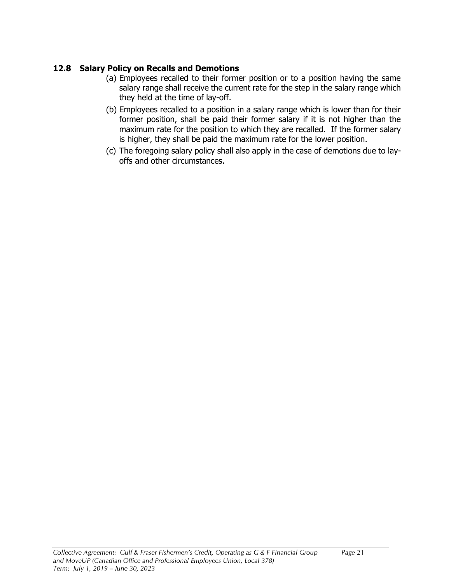#### <span id="page-25-0"></span>**12.8 Salary Policy on Recalls and Demotions**

- (a) Employees recalled to their former position or to a position having the same salary range shall receive the current rate for the step in the salary range which they held at the time of lay-off.
- (b) Employees recalled to a position in a salary range which is lower than for their former position, shall be paid their former salary if it is not higher than the maximum rate for the position to which they are recalled. If the former salary is higher, they shall be paid the maximum rate for the lower position.
- (c) The foregoing salary policy shall also apply in the case of demotions due to layoffs and other circumstances.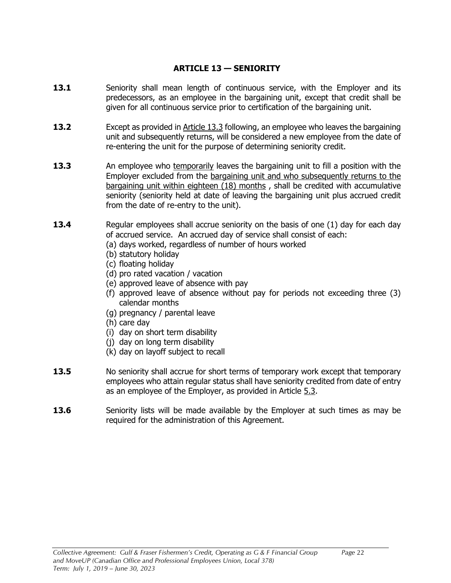#### **ARTICLE 13 — SENIORITY**

- <span id="page-26-1"></span><span id="page-26-0"></span>**13.1** Seniority shall mean length of continuous service, with the Employer and its predecessors, as an employee in the bargaining unit, except that credit shall be given for all continuous service prior to certification of the bargaining unit.
- <span id="page-26-2"></span>**13.2** Except as provided in Article 13.3 following, an employee who leaves the bargaining unit and subsequently returns, will be considered a new employee from the date of re-entering the unit for the purpose of determining seniority credit.
- <span id="page-26-3"></span>**13.3** An employee who temporarily leaves the bargaining unit to fill a position with the Employer excluded from the bargaining unit and who subsequently returns to the bargaining unit within eighteen (18) months , shall be credited with accumulative seniority (seniority held at date of leaving the bargaining unit plus accrued credit from the date of re-entry to the unit).
- <span id="page-26-4"></span>**13.4** Regular employees shall accrue seniority on the basis of one (1) day for each day of accrued service. An accrued day of service shall consist of each:
	- (a) days worked, regardless of number of hours worked
	- (b) statutory holiday
	- (c) floating holiday
	- (d) pro rated vacation / vacation
	- (e) approved leave of absence with pay
	- (f) approved leave of absence without pay for periods not exceeding three (3) calendar months
	- (g) pregnancy / parental leave
	- (h) care day
	- (i) day on short term disability
	- (j) day on long term disability
	- (k) day on layoff subject to recall
- <span id="page-26-5"></span>**13.5** No seniority shall accrue for short terms of temporary work except that temporary employees who attain regular status shall have seniority credited from date of entry as an employee of the Employer, as provided in Article 5.3.
- <span id="page-26-6"></span>**13.6** Seniority lists will be made available by the Employer at such times as may be required for the administration of this Agreement.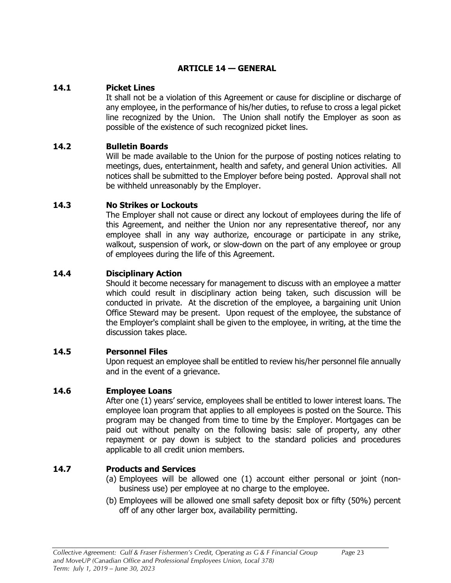#### **ARTICLE 14 — GENERAL**

#### <span id="page-27-1"></span><span id="page-27-0"></span>**14.1 Picket Lines**

It shall not be a violation of this Agreement or cause for discipline or discharge of any employee, in the performance of his/her duties, to refuse to cross a legal picket line recognized by the Union. The Union shall notify the Employer as soon as possible of the existence of such recognized picket lines.

#### <span id="page-27-2"></span>**14.2 Bulletin Boards**

Will be made available to the Union for the purpose of posting notices relating to meetings, dues, entertainment, health and safety, and general Union activities. All notices shall be submitted to the Employer before being posted. Approval shall not be withheld unreasonably by the Employer.

#### <span id="page-27-3"></span>**14.3 No Strikes or Lockouts**

The Employer shall not cause or direct any lockout of employees during the life of this Agreement, and neither the Union nor any representative thereof, nor any employee shall in any way authorize, encourage or participate in any strike, walkout, suspension of work, or slow-down on the part of any employee or group of employees during the life of this Agreement.

#### <span id="page-27-4"></span>**14.4 Disciplinary Action**

Should it become necessary for management to discuss with an employee a matter which could result in disciplinary action being taken, such discussion will be conducted in private. At the discretion of the employee, a bargaining unit Union Office Steward may be present. Upon request of the employee, the substance of the Employer's complaint shall be given to the employee, in writing, at the time the discussion takes place.

#### <span id="page-27-5"></span>**14.5 Personnel Files**

Upon request an employee shall be entitled to review his/her personnel file annually and in the event of a grievance.

#### <span id="page-27-6"></span>**14.6 Employee Loans**

After one (1) years' service, employees shall be entitled to lower interest loans. The employee loan program that applies to all employees is posted on the Source. This program may be changed from time to time by the Employer. Mortgages can be paid out without penalty on the following basis: sale of property, any other repayment or pay down is subject to the standard policies and procedures applicable to all credit union members.

#### <span id="page-27-7"></span>**14.7 Products and Services**

- (a) Employees will be allowed one (1) account either personal or joint (nonbusiness use) per employee at no charge to the employee.
- (b) Employees will be allowed one small safety deposit box or fifty (50%) percent off of any other larger box, availability permitting.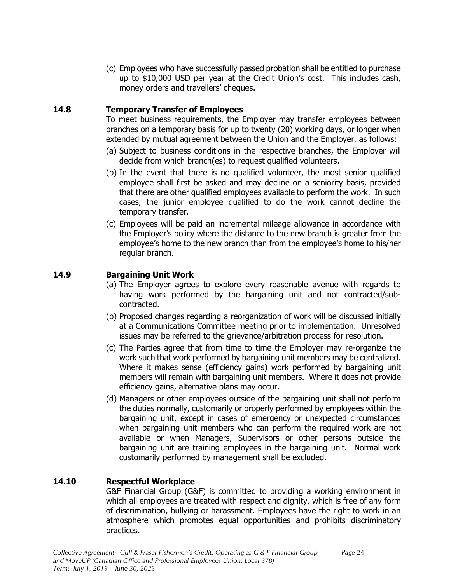(c) Employees who have successfully passed probation shall be entitled to purchase up to \$10,000 USD per year at the Credit Union's cost. This includes cash, money orders and travellers' cheques.

#### <span id="page-28-0"></span>**14.8 Temporary Transfer of Employees**

To meet business requirements, the Employer may transfer employees between branches on a temporary basis for up to twenty (20) working days, or longer when extended by mutual agreement between the Union and the Employer, as follows:

- (a) Subject to business conditions in the respective branches, the Employer will decide from which branch(es) to request qualified volunteers.
- (b) In the event that there is no qualified volunteer, the most senior qualified employee shall first be asked and may decline on a seniority basis, provided that there are other qualified employees available to perform the work. In such cases, the junior employee qualified to do the work cannot decline the temporary transfer.
- (c) Employees will be paid an incremental mileage allowance in accordance with the Employer's policy where the distance to the new branch is greater from the employee's home to the new branch than from the employee's home to his/her regular branch.

#### <span id="page-28-1"></span>**14.9 Bargaining Unit Work**

- (a) The Employer agrees to explore every reasonable avenue with regards to having work performed by the bargaining unit and not contracted/subcontracted.
- (b) Proposed changes regarding a reorganization of work will be discussed initially at a Communications Committee meeting prior to implementation. Unresolved issues may be referred to the grievance/arbitration process for resolution.
- (c) The Parties agree that from time to time the Employer may re-organize the work such that work performed by bargaining unit members may be centralized. Where it makes sense (efficiency gains) work performed by bargaining unit members will remain with bargaining unit members. Where it does not provide efficiency gains, alternative plans may occur.
- (d) Managers or other employees outside of the bargaining unit shall not perform the duties normally, customarily or properly performed by employees within the bargaining unit, except in cases of emergency or unexpected circumstances when bargaining unit members who can perform the required work are not available or when Managers, Supervisors or other persons outside the bargaining unit are training employees in the bargaining unit. Normal work customarily performed by management shall be excluded.

#### <span id="page-28-2"></span>**14.10 Respectful Workplace**

G&F Financial Group (G&F) is committed to providing a working environment in which all employees are treated with respect and dignity, which is free of any form of discrimination, bullying or harassment. Employees have the right to work in an atmosphere which promotes equal opportunities and prohibits discriminatory practices.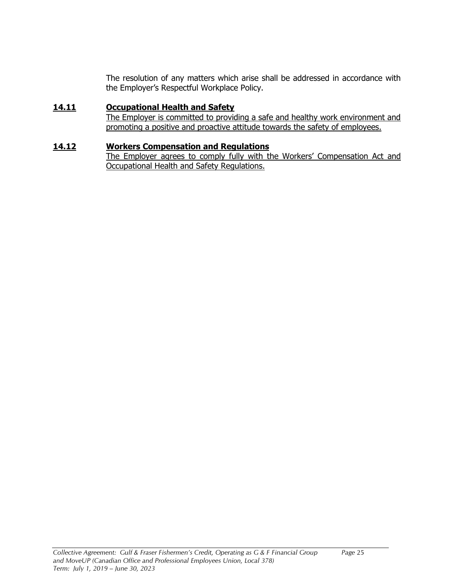The resolution of any matters which arise shall be addressed in accordance with the Employer's Respectful Workplace Policy.

#### <span id="page-29-0"></span>**14.11 Occupational Health and Safety**

The Employer is committed to providing a safe and healthy work environment and promoting a positive and proactive attitude towards the safety of employees.

#### <span id="page-29-1"></span>**14.12 Workers Compensation and Regulations**

The Employer agrees to comply fully with the Workers' Compensation Act and Occupational Health and Safety Regulations.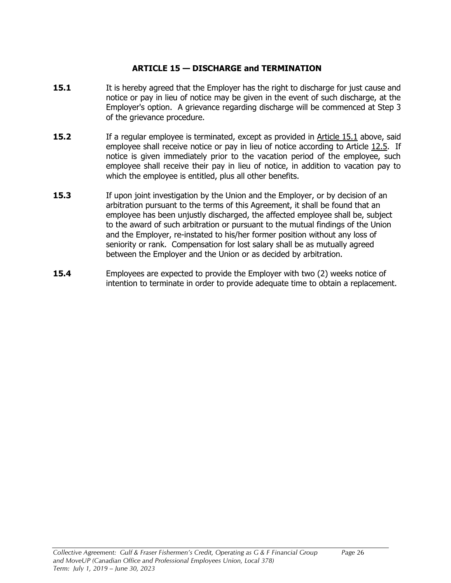#### **ARTICLE 15 — DISCHARGE and TERMINATION**

- <span id="page-30-1"></span><span id="page-30-0"></span>**15.1** It is hereby agreed that the Employer has the right to discharge for just cause and notice or pay in lieu of notice may be given in the event of such discharge, at the Employer's option. A grievance regarding discharge will be commenced at Step 3 of the grievance procedure.
- <span id="page-30-2"></span>**15.2** If a regular employee is terminated, except as provided in Article 15.1 above, said employee shall receive notice or pay in lieu of notice according to Article 12.5. If notice is given immediately prior to the vacation period of the employee, such employee shall receive their pay in lieu of notice, in addition to vacation pay to which the employee is entitled, plus all other benefits.
- <span id="page-30-3"></span>**15.3** If upon joint investigation by the Union and the Employer, or by decision of an arbitration pursuant to the terms of this Agreement, it shall be found that an employee has been unjustly discharged, the affected employee shall be, subject to the award of such arbitration or pursuant to the mutual findings of the Union and the Employer, re-instated to his/her former position without any loss of seniority or rank. Compensation for lost salary shall be as mutually agreed between the Employer and the Union or as decided by arbitration.
- <span id="page-30-4"></span>**15.4** Employees are expected to provide the Employer with two (2) weeks notice of intention to terminate in order to provide adequate time to obtain a replacement.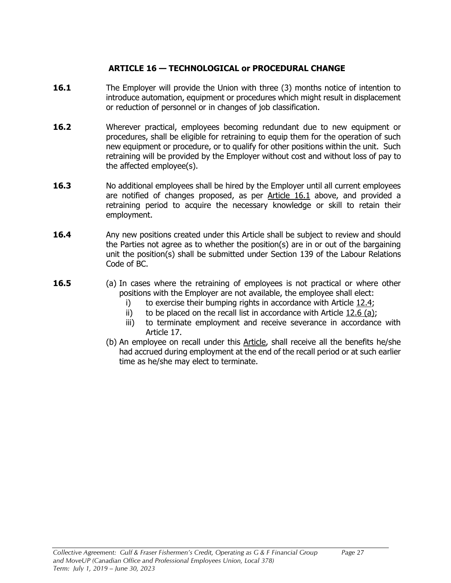#### **ARTICLE 16 — TECHNOLOGICAL or PROCEDURAL CHANGE**

- <span id="page-31-1"></span><span id="page-31-0"></span>**16.1** The Employer will provide the Union with three (3) months notice of intention to introduce automation, equipment or procedures which might result in displacement or reduction of personnel or in changes of job classification.
- <span id="page-31-2"></span>**16.2** Wherever practical, employees becoming redundant due to new equipment or procedures, shall be eligible for retraining to equip them for the operation of such new equipment or procedure, or to qualify for other positions within the unit. Such retraining will be provided by the Employer without cost and without loss of pay to the affected employee(s).
- <span id="page-31-3"></span>**16.3** No additional employees shall be hired by the Employer until all current employees are notified of changes proposed, as per Article 16.1 above, and provided a retraining period to acquire the necessary knowledge or skill to retain their employment.
- <span id="page-31-4"></span>**16.4** Any new positions created under this Article shall be subject to review and should the Parties not agree as to whether the position(s) are in or out of the bargaining unit the position(s) shall be submitted under Section 139 of the Labour Relations Code of BC.
- <span id="page-31-5"></span>**16.5** (a) In cases where the retraining of employees is not practical or where other positions with the Employer are not available, the employee shall elect:
	- i) to exercise their bumping rights in accordance with Article 12.4;
	- ii) to be placed on the recall list in accordance with Article 12.6 (a);
	- iii) to terminate employment and receive severance in accordance with Article 17.
	- (b) An employee on recall under this Article, shall receive all the benefits he/she had accrued during employment at the end of the recall period or at such earlier time as he/she may elect to terminate.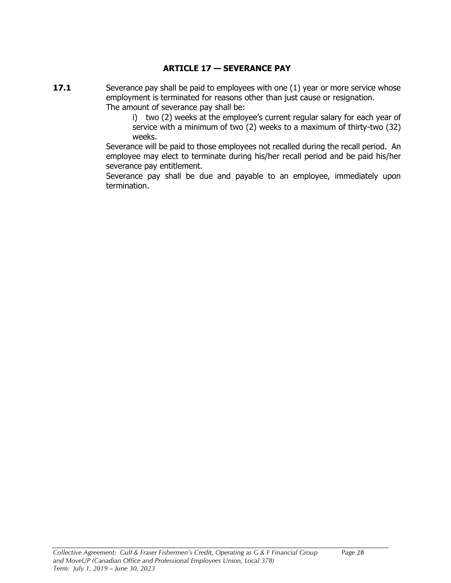#### **ARTICLE 17 — SEVERANCE PAY**

<span id="page-32-1"></span><span id="page-32-0"></span>**17.1** Severance pay shall be paid to employees with one (1) year or more service whose employment is terminated for reasons other than just cause or resignation. The amount of severance pay shall be:

> i) two (2) weeks at the employee's current regular salary for each year of service with a minimum of two (2) weeks to a maximum of thirty-two (32) weeks.

Severance will be paid to those employees not recalled during the recall period. An employee may elect to terminate during his/her recall period and be paid his/her severance pay entitlement.

Severance pay shall be due and payable to an employee, immediately upon termination.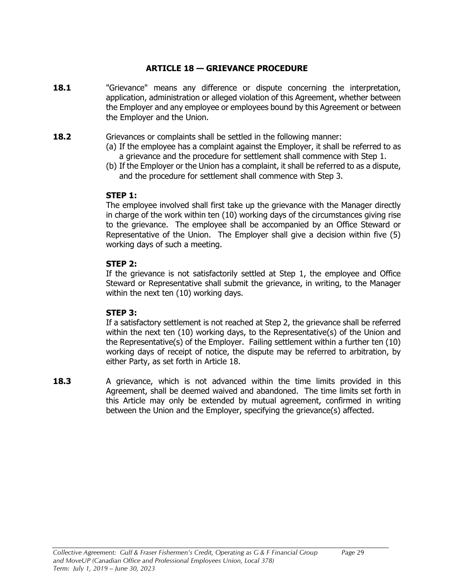#### **ARTICLE 18 — GRIEVANCE PROCEDURE**

- <span id="page-33-1"></span><span id="page-33-0"></span>**18.1** "Grievance" means any difference or dispute concerning the interpretation, application, administration or alleged violation of this Agreement, whether between the Employer and any employee or employees bound by this Agreement or between the Employer and the Union.
- <span id="page-33-2"></span>**18.2** Grievances or complaints shall be settled in the following manner:
	- (a) If the employee has a complaint against the Employer, it shall be referred to as a grievance and the procedure for settlement shall commence with Step 1.
	- (b) If the Employer or the Union has a complaint, it shall be referred to as a dispute, and the procedure for settlement shall commence with Step 3.

#### **STEP 1:**

The employee involved shall first take up the grievance with the Manager directly in charge of the work within ten (10) working days of the circumstances giving rise to the grievance. The employee shall be accompanied by an Office Steward or Representative of the Union. The Employer shall give a decision within five (5) working days of such a meeting.

#### **STEP 2:**

If the grievance is not satisfactorily settled at Step 1, the employee and Office Steward or Representative shall submit the grievance, in writing, to the Manager within the next ten (10) working days.

#### **STEP 3:**

If a satisfactory settlement is not reached at Step 2, the grievance shall be referred within the next ten (10) working days, to the Representative(s) of the Union and the Representative(s) of the Employer. Failing settlement within a further ten (10) working days of receipt of notice, the dispute may be referred to arbitration, by either Party, as set forth in Article 18.

<span id="page-33-3"></span>**18.3** A grievance, which is not advanced within the time limits provided in this Agreement, shall be deemed waived and abandoned. The time limits set forth in this Article may only be extended by mutual agreement, confirmed in writing between the Union and the Employer, specifying the grievance(s) affected.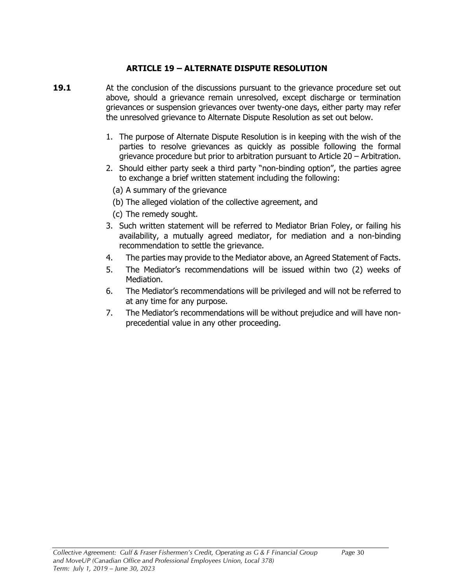#### **ARTICLE 19 – ALTERNATE DISPUTE RESOLUTION**

- <span id="page-34-1"></span><span id="page-34-0"></span>**19.1** At the conclusion of the discussions pursuant to the grievance procedure set out above, should a grievance remain unresolved, except discharge or termination grievances or suspension grievances over twenty-one days, either party may refer the unresolved grievance to Alternate Dispute Resolution as set out below.
	- 1. The purpose of Alternate Dispute Resolution is in keeping with the wish of the parties to resolve grievances as quickly as possible following the formal grievance procedure but prior to arbitration pursuant to Article 20 – Arbitration.
	- 2. Should either party seek a third party "non-binding option", the parties agree to exchange a brief written statement including the following:
		- (a) A summary of the grievance
		- (b) The alleged violation of the collective agreement, and
		- (c) The remedy sought.
	- 3. Such written statement will be referred to Mediator Brian Foley, or failing his availability, a mutually agreed mediator, for mediation and a non-binding recommendation to settle the grievance.
	- 4. The parties may provide to the Mediator above, an Agreed Statement of Facts.
	- 5. The Mediator's recommendations will be issued within two (2) weeks of Mediation.
	- 6. The Mediator's recommendations will be privileged and will not be referred to at any time for any purpose.
	- 7. The Mediator's recommendations will be without prejudice and will have nonprecedential value in any other proceeding.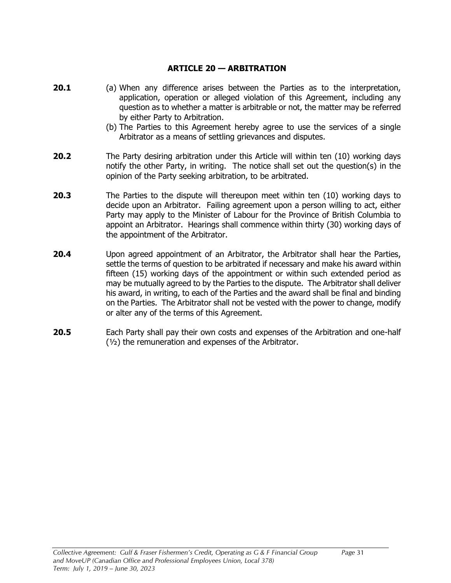#### **ARTICLE 20 — ARBITRATION**

- <span id="page-35-1"></span><span id="page-35-0"></span>**20.1** (a) When any difference arises between the Parties as to the interpretation, application, operation or alleged violation of this Agreement, including any question as to whether a matter is arbitrable or not, the matter may be referred by either Party to Arbitration.
	- (b) The Parties to this Agreement hereby agree to use the services of a single Arbitrator as a means of settling grievances and disputes.
- <span id="page-35-2"></span>**20.2** The Party desiring arbitration under this Article will within ten (10) working days notify the other Party, in writing. The notice shall set out the question(s) in the opinion of the Party seeking arbitration, to be arbitrated.
- <span id="page-35-3"></span>**20.3** The Parties to the dispute will thereupon meet within ten (10) working days to decide upon an Arbitrator. Failing agreement upon a person willing to act, either Party may apply to the Minister of Labour for the Province of British Columbia to appoint an Arbitrator. Hearings shall commence within thirty (30) working days of the appointment of the Arbitrator.
- <span id="page-35-4"></span>**20.4** Upon agreed appointment of an Arbitrator, the Arbitrator shall hear the Parties, settle the terms of question to be arbitrated if necessary and make his award within fifteen (15) working days of the appointment or within such extended period as may be mutually agreed to by the Parties to the dispute. The Arbitrator shall deliver his award, in writing, to each of the Parties and the award shall be final and binding on the Parties. The Arbitrator shall not be vested with the power to change, modify or alter any of the terms of this Agreement.
- <span id="page-35-5"></span>**20.5** Each Party shall pay their own costs and expenses of the Arbitration and one-half (½) the remuneration and expenses of the Arbitrator.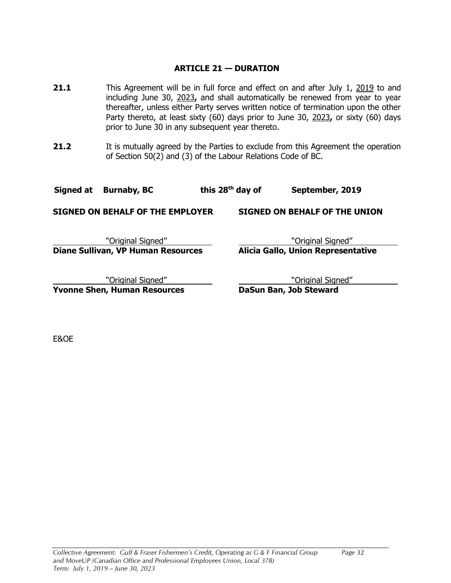#### **ARTICLE 21 — DURATION**

- <span id="page-36-1"></span><span id="page-36-0"></span>**21.1** This Agreement will be in full force and effect on and after July 1, 2019 to and including June 30, 2023**,** and shall automatically be renewed from year to year thereafter, unless either Party serves written notice of termination upon the other Party thereto, at least sixty (60) days prior to June 30, 2023**,** or sixty (60) days prior to June 30 in any subsequent year thereto.
- <span id="page-36-2"></span>**21.2** It is mutually agreed by the Parties to exclude from this Agreement the operation of Section 50(2) and (3) of the Labour Relations Code of BC.

#### **Signed at Burnaby, BC this 28th day of September, 2019**

**SIGNED ON BEHALF OF THE EMPLOYER SIGNED ON BEHALF OF THE UNION**

**Diane Sullivan, VP Human Resources** 

**"Original Signed"** [1994] The section of the section of the section of the section of the section of the section of the section of the section of the section of the section of the section of the section of the section of

**Yvonne Shen, Human Resources DaSun Ban, Job Steward**

"Original Signed" "Original Signed"

E&OE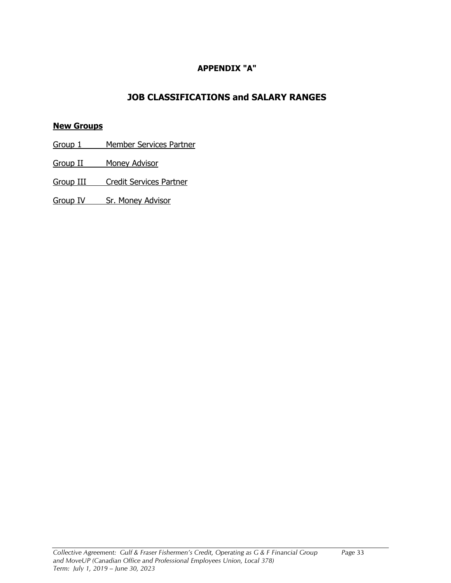#### **APPENDIX "A"**

# **JOB CLASSIFICATIONS and SALARY RANGES**

#### <span id="page-37-1"></span><span id="page-37-0"></span>**New Groups**

- Group 1 Member Services Partner
- Group II Money Advisor
- Group III Credit Services Partner
- Group IV Sr. Money Advisor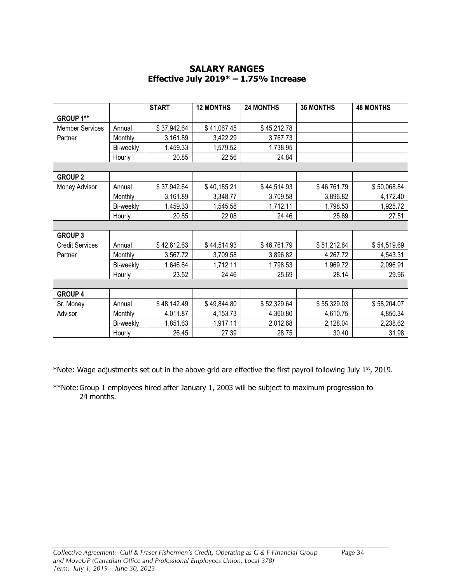#### **SALARY RANGES Effective July 2019\* – 1.75% Increase**

<span id="page-38-1"></span><span id="page-38-0"></span>

|                        |           | <b>START</b> | <b>12 MONTHS</b> | <b>24 MONTHS</b> | <b>36 MONTHS</b> | <b>48 MONTHS</b> |
|------------------------|-----------|--------------|------------------|------------------|------------------|------------------|
| GROUP 1**              |           |              |                  |                  |                  |                  |
| <b>Member Services</b> | Annual    | \$37,942.64  | \$41,067.45      | \$45,212.78      |                  |                  |
| Partner                | Monthly   | 3,161.89     | 3,422.29         | 3,767.73         |                  |                  |
|                        | Bi-weekly | 1,459.33     | 1,579.52         | 1,738.95         |                  |                  |
|                        | Hourly    | 20.85        | 22.56            | 24.84            |                  |                  |
|                        |           |              |                  |                  |                  |                  |
| <b>GROUP 2</b>         |           |              |                  |                  |                  |                  |
| Money Advisor          | Annual    | \$37,942.64  | \$40,185.21      | \$44,514.93      | \$46,761.79      | \$50,068.84      |
|                        | Monthly   | 3,161.89     | 3,348.77         | 3,709.58         | 3,896.82         | 4,172.40         |
|                        | Bi-weekly | 1,459.33     | 1,545.58         | 1,712.11         | 1,798.53         | 1,925.72         |
|                        | Hourly    | 20.85        | 22.08            | 24.46            | 25.69            | 27.51            |
|                        |           |              |                  |                  |                  |                  |
| <b>GROUP 3</b>         |           |              |                  |                  |                  |                  |
| <b>Credit Services</b> | Annual    | \$42,812.63  | \$44,514.93      | \$46,761.79      | \$51,212.64      | \$54,519.69      |
| Partner                | Monthly   | 3,567.72     | 3,709.58         | 3,896.82         | 4,267.72         | 4,543.31         |
|                        | Bi-weekly | 1,646.64     | 1,712.11         | 1,798.53         | 1,969.72         | 2,096.91         |
|                        | Hourly    | 23.52        | 24.46            | 25.69            | 28.14            | 29.96            |
|                        |           |              |                  |                  |                  |                  |
| <b>GROUP 4</b>         |           |              |                  |                  |                  |                  |
| Sr. Money              | Annual    | \$48,142.49  | \$49,844.80      | \$52,329.64      | \$55,329.03      | \$58,204.07      |
| Advisor                | Monthly   | 4,011.87     | 4,153.73         | 4,360.80         | 4,610.75         | 4,850.34         |
|                        | Bi-weekly | 1,851.63     | 1,917.11         | 2,012.68         | 2,128.04         | 2,238.62         |
|                        | Hourly    | 26.45        | 27.39            | 28.75            | 30.40            | 31.98            |

\*Note: Wage adjustments set out in the above grid are effective the first payroll following July  $1<sup>st</sup>$ , 2019.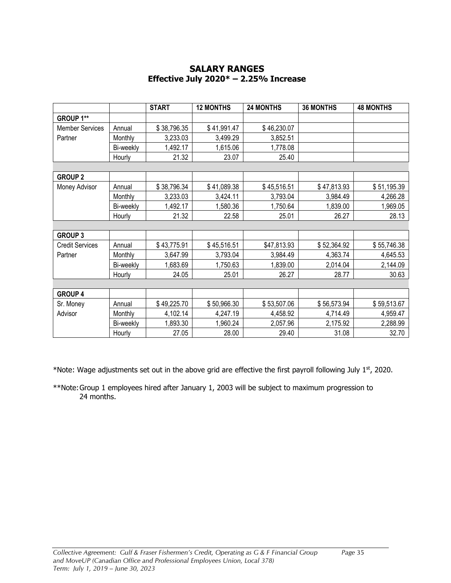#### **SALARY RANGES Effective July 2020\* – 2.25% Increase**

<span id="page-39-1"></span><span id="page-39-0"></span>

|                        |           | <b>START</b> | <b>12 MONTHS</b> | <b>24 MONTHS</b> | <b>36 MONTHS</b> | <b>48 MONTHS</b> |
|------------------------|-----------|--------------|------------------|------------------|------------------|------------------|
| GROUP 1**              |           |              |                  |                  |                  |                  |
| <b>Member Services</b> | Annual    | \$38,796.35  | \$41,991.47      | \$46,230.07      |                  |                  |
| Partner                | Monthly   | 3,233.03     | 3,499.29         | 3,852.51         |                  |                  |
|                        | Bi-weekly | 1,492.17     | 1,615.06         | 1,778.08         |                  |                  |
|                        | Hourly    | 21.32        | 23.07            | 25.40            |                  |                  |
|                        |           |              |                  |                  |                  |                  |
| <b>GROUP 2</b>         |           |              |                  |                  |                  |                  |
| Money Advisor          | Annual    | \$38,796.34  | \$41,089.38      | \$45,516.51      | \$47,813.93      | \$51,195.39      |
|                        | Monthly   | 3,233.03     | 3,424.11         | 3,793.04         | 3,984.49         | 4,266.28         |
|                        | Bi-weekly | 1,492.17     | 1,580.36         | 1,750.64         | 1,839.00         | 1,969.05         |
|                        | Hourly    | 21.32        | 22.58            | 25.01            | 26.27            | 28.13            |
|                        |           |              |                  |                  |                  |                  |
| <b>GROUP 3</b>         |           |              |                  |                  |                  |                  |
| <b>Credit Services</b> | Annual    | \$43,775.91  | \$45,516.51      | \$47,813.93      | \$52,364.92      | \$55,746.38      |
| Partner                | Monthly   | 3,647.99     | 3,793.04         | 3,984.49         | 4,363.74         | 4,645.53         |
|                        | Bi-weekly | 1,683.69     | 1,750.63         | 1,839.00         | 2,014.04         | 2,144.09         |
|                        | Hourly    | 24.05        | 25.01            | 26.27            | 28.77            | 30.63            |
|                        |           |              |                  |                  |                  |                  |
| <b>GROUP 4</b>         |           |              |                  |                  |                  |                  |
| Sr. Money              | Annual    | \$49,225.70  | \$50,966.30      | \$53,507.06      | \$56,573.94      | \$59,513.67      |
| Advisor                | Monthly   | 4,102.14     | 4,247.19         | 4,458.92         | 4,714.49         | 4,959.47         |
|                        | Bi-weekly | 1,893.30     | 1,960.24         | 2,057.96         | 2,175.92         | 2,288.99         |
|                        | Hourly    | 27.05        | 28.00            | 29.40            | 31.08            | 32.70            |

\*Note: Wage adjustments set out in the above grid are effective the first payroll following July 1st, 2020.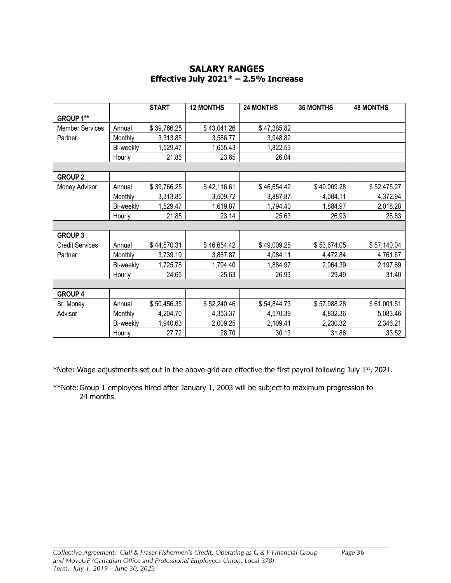#### **SALARY RANGES Effective July 2021\* – 2.5% Increase**

<span id="page-40-1"></span><span id="page-40-0"></span>

|                        |           | <b>START</b> | <b>12 MONTHS</b> | 24 MONTHS   | <b>36 MONTHS</b> | <b>48 MONTHS</b> |
|------------------------|-----------|--------------|------------------|-------------|------------------|------------------|
| GROUP 1**              |           |              |                  |             |                  |                  |
| <b>Member Services</b> | Annual    | \$39,766.25  | \$43,041.26      | \$47,385.82 |                  |                  |
| Partner                | Monthly   | 3,313.85     | 3,586.77         | 3,948.82    |                  |                  |
|                        | Bi-weekly | 1,529.47     | 1,655.43         | 1,822.53    |                  |                  |
|                        | Hourly    | 21.85        | 23.65            | 26.04       |                  |                  |
|                        |           |              |                  |             |                  |                  |
| <b>GROUP 2</b>         |           |              |                  |             |                  |                  |
| Money Advisor          | Annual    | \$39,766.25  | \$42,116.61      | \$46,654.42 | \$49,009.28      | \$52,475.27      |
|                        | Monthly   | 3,313.85     | 3,509.72         | 3,887.87    | 4,084.11         | 4,372.94         |
|                        | Bi-weekly | 1,529.47     | 1,619.87         | 1,794.40    | 1,884.97         | 2,018.28         |
|                        | Hourly    | 21.85        | 23.14            | 25.63       | 26.93            | 28.83            |
|                        |           |              |                  |             |                  |                  |
| <b>GROUP 3</b>         |           |              |                  |             |                  |                  |
| <b>Credit Services</b> | Annual    | \$44,870.31  | \$46,654.42      | \$49,009.28 | \$53,674.05      | \$57,140.04      |
| Partner                | Monthly   | 3,739.19     | 3,887.87         | 4,084.11    | 4,472.84         | 4,761.67         |
|                        | Bi-weekly | 1,725.78     | 1,794.40         | 1,884.97    | 2,064.39         | 2,197.69         |
|                        | Hourly    | 24.65        | 25.63            | 26.93       | 29.49            | 31.40            |
|                        |           |              |                  |             |                  |                  |
| <b>GROUP 4</b>         |           |              |                  |             |                  |                  |
| Sr. Money              | Annual    | \$50,456.35  | \$52,240.46      | \$54,844.73 | \$57,988.28      | \$61,001.51      |
| Advisor                | Monthly   | 4,204.70     | 4,353.37         | 4,570.39    | 4,832.36         | 5,083.46         |
|                        | Bi-weekly | 1,940.63     | 2,009.25         | 2,109.41    | 2,230.32         | 2,346.21         |
|                        | Hourly    | 27.72        | 28.70            | 30.13       | 31.86            | 33.52            |

\*Note: Wage adjustments set out in the above grid are effective the first payroll following July 1<sup>st</sup>, 2021.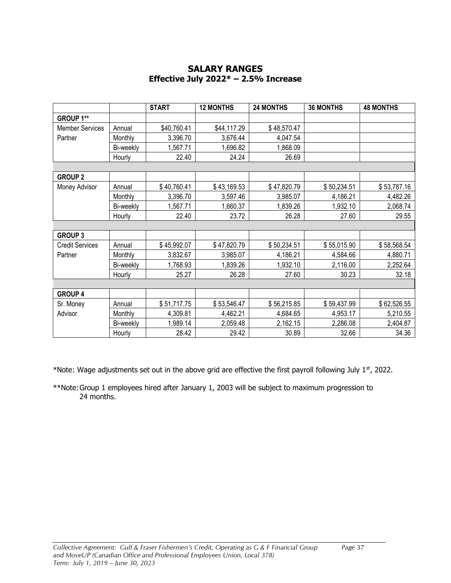#### **SALARY RANGES Effective July 2022\* – 2.5% Increase**

<span id="page-41-1"></span><span id="page-41-0"></span>

|                        |           | <b>START</b> | <b>12 MONTHS</b> | <b>24 MONTHS</b> | <b>36 MONTHS</b> | <b>48 MONTHS</b> |
|------------------------|-----------|--------------|------------------|------------------|------------------|------------------|
| GROUP 1**              |           |              |                  |                  |                  |                  |
| <b>Member Services</b> | Annual    | \$40,760.41  | \$44,117.29      | \$48,570.47      |                  |                  |
| Partner                | Monthly   | 3,396.70     | 3,676.44         | 4,047.54         |                  |                  |
|                        | Bi-weekly | 1,567.71     | 1,696.82         | 1,868.09         |                  |                  |
|                        | Hourly    | 22.40        | 24.24            | 26.69            |                  |                  |
|                        |           |              |                  |                  |                  |                  |
| <b>GROUP 2</b>         |           |              |                  |                  |                  |                  |
| Money Advisor          | Annual    | \$40,760.41  | \$43,169.53      | \$47,820.79      | \$50,234.51      | \$53,787.16      |
|                        | Monthly   | 3,396.70     | 3,597.46         | 3,985.07         | 4,186.21         | 4,482.26         |
|                        | Bi-weekly | 1,567.71     | 1,660.37         | 1,839.26         | 1,932.10         | 2,068.74         |
|                        | Hourly    | 22.40        | 23.72            | 26.28            | 27.60            | 29.55            |
|                        |           |              |                  |                  |                  |                  |
| <b>GROUP 3</b>         |           |              |                  |                  |                  |                  |
| <b>Credit Services</b> | Annual    | \$45,992.07  | \$47,820.79      | \$50,234.51      | \$55,015.90      | \$58,568.54      |
| Partner                | Monthly   | 3,832.67     | 3,985.07         | 4,186.21         | 4,584.66         | 4,880.71         |
|                        | Bi-weekly | 1,768.93     | 1,839.26         | 1,932.10         | 2,116.00         | 2,252.64         |
|                        | Hourly    | 25.27        | 26.28            | 27.60            | 30.23            | 32.18            |
|                        |           |              |                  |                  |                  |                  |
| <b>GROUP 4</b>         |           |              |                  |                  |                  |                  |
| Sr. Money              | Annual    | \$51,717.75  | \$53,546.47      | \$56,215.85      | \$59,437.99      | \$62,526.55      |
| Advisor                | Monthly   | 4,309.81     | 4,462.21         | 4,684.65         | 4,953.17         | 5,210.55         |
|                        | Bi-weekly | 1,989.14     | 2,059.48         | 2,162.15         | 2,286.08         | 2,404.87         |
|                        | Hourly    | 28.42        | 29.42            | 30.89            | 32.66            | 34.36            |

\*Note: Wage adjustments set out in the above grid are effective the first payroll following July 1<sup>st</sup>, 2022.